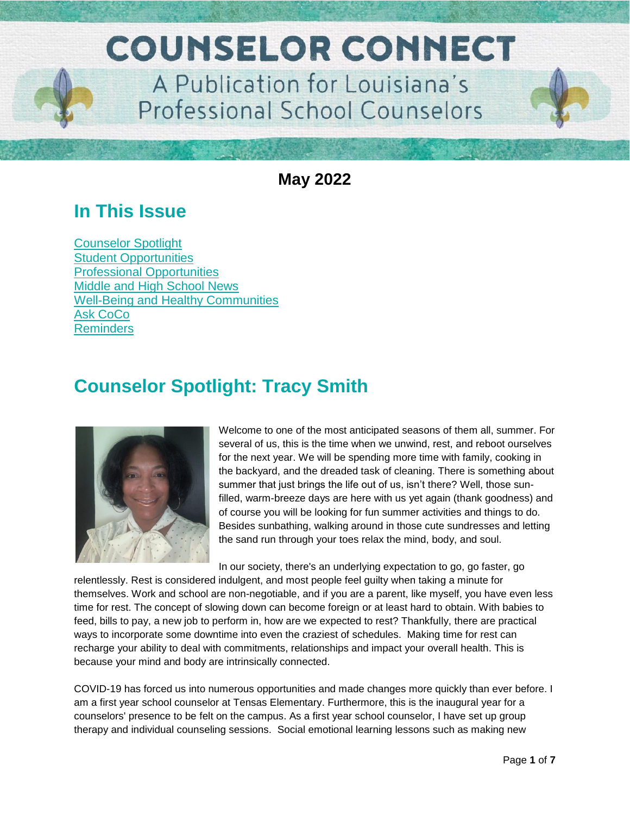

**May 2022**

## **In This Issue**

[Counselor Spotlight](#page-0-0) Student [Opportunities](#page-2-0) [Professional Opportunities](#page-2-1) [Middle and High School News](#page-3-0) Well-Being and [Healthy Communities](#page-4-0) [Ask CoCo](#page-5-0) **[Reminders](#page-5-1)** 

## <span id="page-0-0"></span>**Counselor Spotlight: Tracy Smith**



Welcome to one of the most anticipated seasons of them all, summer. For several of us, this is the time when we unwind, rest, and reboot ourselves for the next year. We will be spending more time with family, cooking in the backyard, and the dreaded task of cleaning. There is something about summer that just brings the life out of us, isn't there? Well, those sunfilled, warm-breeze days are here with us yet again (thank goodness) and of course you will be looking for fun summer activities and things to do. Besides sunbathing, walking around in those cute sundresses and letting the sand run through your toes relax the mind, body, and soul.

In our society, there's an underlying expectation to go, go faster, go

relentlessly. Rest is considered indulgent, and most people feel guilty when taking a minute for themselves. Work and school are non-negotiable, and if you are a parent, like myself, you have even less time for rest. The concept of slowing down can become foreign or at least hard to obtain. With babies to feed, bills to pay, a new job to perform in, how are we expected to rest? Thankfully, there are practical ways to incorporate some downtime into even the craziest of schedules. Making time for rest can recharge your ability to deal with commitments, relationships and impact your overall health. This is because your mind and body are intrinsically connected.

COVID-19 has forced us into numerous opportunities and made changes more quickly than ever before. I am a first year school counselor at Tensas Elementary. Furthermore, this is the inaugural year for a counselors' presence to be felt on the campus. As a first year school counselor, I have set up group therapy and individual counseling sessions. Social emotional learning lessons such as making new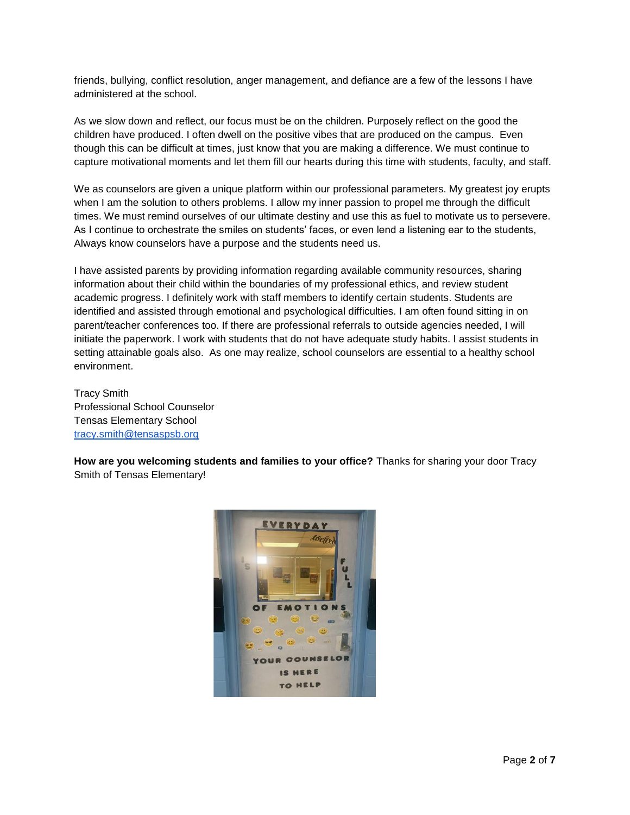friends, bullying, conflict resolution, anger management, and defiance are a few of the lessons I have administered at the school.

As we slow down and reflect, our focus must be on the children. Purposely reflect on the good the children have produced. I often dwell on the positive vibes that are produced on the campus. Even though this can be difficult at times, just know that you are making a difference. We must continue to capture motivational moments and let them fill our hearts during this time with students, faculty, and staff.

We as counselors are given a unique platform within our professional parameters. My greatest joy erupts when I am the solution to others problems. I allow my inner passion to propel me through the difficult times. We must remind ourselves of our ultimate destiny and use this as fuel to motivate us to persevere. As I continue to orchestrate the smiles on students' faces, or even lend a listening ear to the students, Always know counselors have a purpose and the students need us.

I have assisted parents by providing information regarding available community resources, sharing information about their child within the boundaries of my professional ethics, and review student academic progress. I definitely work with staff members to identify certain students. Students are identified and assisted through emotional and psychological difficulties. I am often found sitting in on parent/teacher conferences too. If there are professional referrals to outside agencies needed, I will initiate the paperwork. I work with students that do not have adequate study habits. I assist students in setting attainable goals also. As one may realize, school counselors are essential to a healthy school environment.

Tracy Smith Professional School Counselor Tensas Elementary School [tracy.smith@tensaspsb.org](mailto:tracy.smith@tensaspsb.org)

**How are you welcoming students and families to your office?** Thanks for sharing your door Tracy Smith of Tensas Elementary!

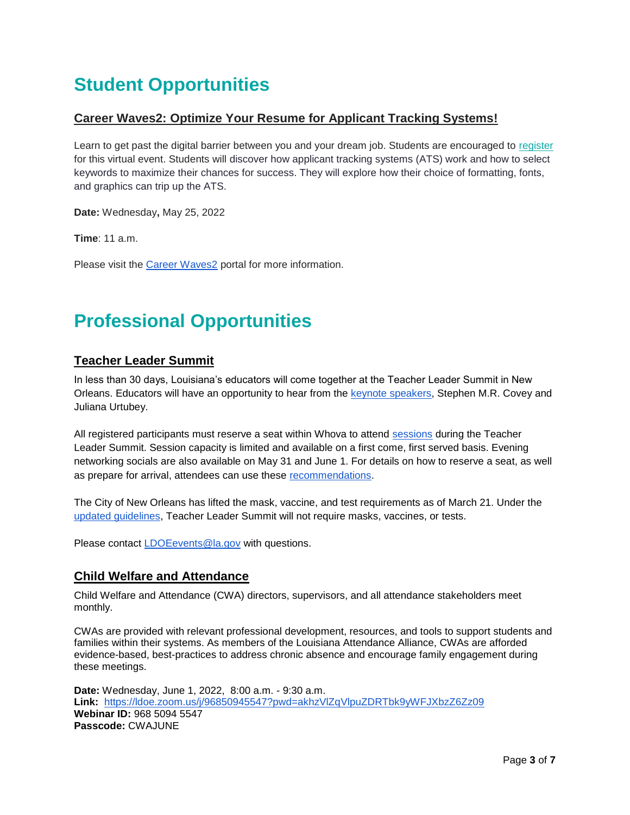# <span id="page-2-0"></span>**Student Opportunities**

### **Career Waves2: Optimize Your Resume for Applicant Tracking Systems!**

Learn to get past the digital barrier between you and your dream job. Students are encouraged to [register](https://us02web.zoom.us/webinar/register/WN_oqr7SupaRDqI9HYUHNSj3g) for this virtual event. Students will discover how applicant tracking systems (ATS) work and how to select keywords to maximize their chances for success. They will explore how their choice of formatting, fonts, and graphics can trip up the ATS.

**Date:** Wednesday**,** May 25, 2022

**Time**: 11 a.m.

Please visit the [Career Waves2](https://careerwaves2portal.com/) portal for more information.

# <span id="page-2-1"></span>**Professional Opportunities**

### **Teacher Leader Summit**

In less than 30 days, Louisiana's educators will come together at the Teacher Leader Summit in New Orleans. Educators will have an opportunity to hear from the [keynote speakers,](https://www.louisianabelieves.com/docs/default-source/2022-teacher-leader-summit/keynote-speakers---tl-summit-2022.pdf) Stephen M.R. Covey and Juliana Urtubey.

All registered participants must reserve a seat within Whova to attend [sessions](https://whova.com/embedded/event/i6u0jc%2FHaQPA8X9JKRdO22%2FvxgNOBGeJNdxPWRzFISM%3D/?utc_source=ems) during the Teacher Leader Summit. Session capacity is limited and available on a first come, first served basis. Evening networking socials are also available on May 31 and June 1. For details on how to reserve a seat, as well as prepare for arrival, attendees can use these [recommendations.](https://www.louisianabelieves.com/docs/default-source/2022-teacher-leader-summit/prepare-for-arrival---tl-summit-2022.pdf)

The City of New Orleans has lifted the mask, vaccine, and test requirements as of March 21. Under the [updated guidelines,](https://ready.nola.gov/incident/coronavirus/safe-reopening/) Teacher Leader Summit will not require masks, vaccines, or tests.

Please contact [LDOEevents@la.gov](mailto:LDOEevents@la.gov) with questions.

### **Child Welfare and Attendance**

Child Welfare and Attendance (CWA) directors, supervisors, and all attendance stakeholders meet monthly.

CWAs are provided with relevant professional development, resources, and tools to support students and families within their systems. As members of the Louisiana Attendance Alliance, CWAs are afforded evidence-based, best-practices to address chronic absence and encourage family engagement during these meetings.

**Date:** Wednesday, June 1, 2022, 8:00 a.m. - 9:30 a.m. **Link:** <https://ldoe.zoom.us/j/96850945547?pwd=akhzVlZqVlpuZDRTbk9yWFJXbzZ6Zz09> **Webinar ID:** 968 5094 5547 **Passcode:** CWAJUNE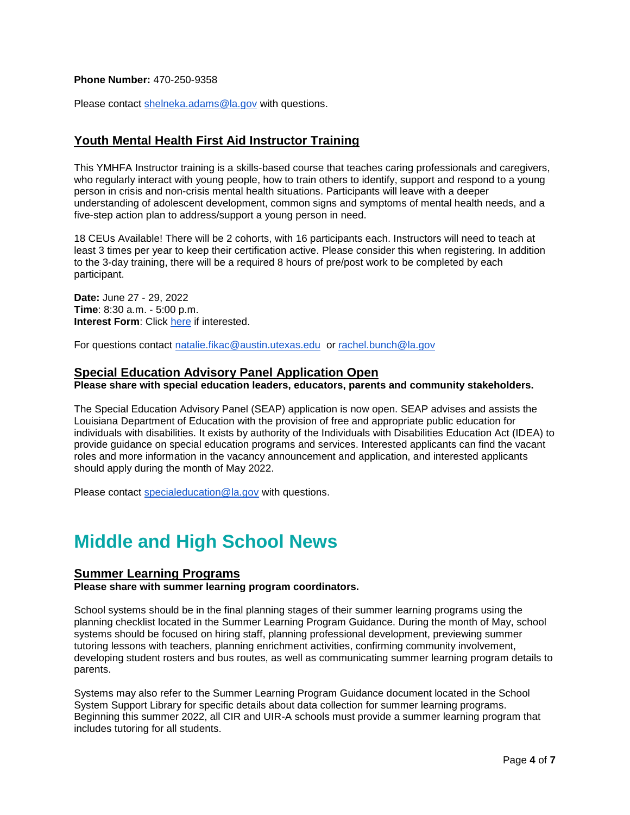#### **Phone Number:** 470-250-9358

Please contact [shelneka.adams@la.gov](mailto:shelneka.adams@la.gov) with questions.

### **Youth Mental Health First Aid Instructor Training**

This YMHFA Instructor training is a skills-based course that teaches caring professionals and caregivers, who regularly interact with young people, how to train others to identify, support and respond to a young person in crisis and non-crisis mental health situations. Participants will leave with a deeper understanding of adolescent development, common signs and symptoms of mental health needs, and a five-step action plan to address/support a young person in need.

18 CEUs Available! There will be 2 cohorts, with 16 participants each. Instructors will need to teach at least 3 times per year to keep their certification active. Please consider this when registering. In addition to the 3-day training, there will be a required 8 hours of pre/post work to be completed by each participant.

**Date:** June 27 - 29, 2022 **Time**: 8:30 a.m. - 5:00 p.m. **Interest Form**: Click [here](https://forms.office.com/r/ECiRqVjH8M) if interested.

For questions contact [natalie.fikac@austin.utexas.edu](mailto:natalie.fikac@austin.utexas.edu) or [rachel.bunch@la.gov](mailto:rachel.bunch@la.gov)

#### **Special Education Advisory Panel Application Open**

**Please share with special education leaders, educators, parents and community stakeholders.**

The Special Education Advisory Panel (SEAP) application is now open. SEAP advises and assists the Louisiana Department of Education with the provision of free and appropriate public education for individuals with disabilities. It exists by authority of the Individuals with Disabilities Education Act (IDEA) to provide guidance on special education programs and services. Interested applicants can find the vacant roles and more information in the vacancy announcement and application, and interested applicants should apply during the month of May 2022.

Please contact [specialeducation@la.gov](mailto:specialeducation@la.gov) with questions.

## <span id="page-3-0"></span>**Middle and High School News**

#### **Summer Learning Programs**

**Please share with summer learning program coordinators.** 

School systems should be in the final planning stages of their summer learning programs using the planning checklist located in the Summer Learning Program Guidance. During the month of May, school systems should be focused on hiring staff, planning professional development, previewing summer tutoring lessons with teachers, planning enrichment activities, confirming community involvement, developing student rosters and bus routes, as well as communicating summer learning program details to parents.

Systems may also refer to the Summer Learning Program Guidance document located in the School System Support Library for specific details about data collection for summer learning programs. Beginning this summer 2022, all CIR and UIR-A schools must provide a summer learning program that includes tutoring for all students.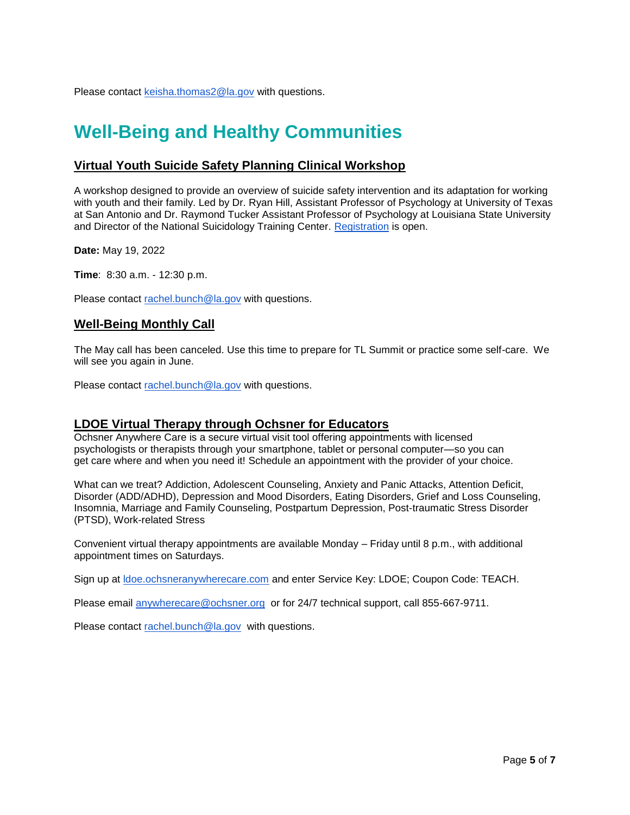Please contact [keisha.thomas2@la.gov](mailto:keisha.thomas2@la.gov) with questions.

## <span id="page-4-0"></span>**Well-Being and Healthy Communities**

### **Virtual Youth Suicide Safety Planning Clinical Workshop**

A workshop designed to provide an overview of suicide safety intervention and its adaptation for working with youth and their family. Led by Dr. Ryan Hill, Assistant Professor of Psychology at University of Texas at San Antonio and Dr. Raymond Tucker Assistant Professor of Psychology at Louisiana State University and Director of the National Suicidology Training Center. [Registration](https://lsu.zoom.us/meeting/register/tJEpdeCgqzwvE9bDpI-KLADF9QzyKm-AI6bk) is open.

**Date:** May 19, 2022

**Time**: 8:30 a.m. - 12:30 p.m.

Please contact rachel.bunc[h@la.gov](mailto:Jasmine.Harkless-Thomas@la.gov) with questions.

#### **Well-Being Monthly Call**

The May call has been canceled. Use this time to prepare for TL Summit or practice some self-care. We will see you again in June.

Please contact [rachel.bunch@la.gov](mailto:rachel.bunch@la.gov) with questions.

#### **LDOE Virtual Therapy through Ochsner for Educators**

Ochsner Anywhere Care is a secure virtual visit tool offering appointments with licensed psychologists or therapists through your smartphone, tablet or personal computer—so you can get care where and when you need it! Schedule an appointment with the provider of your choice.

What can we treat? Addiction, Adolescent Counseling, Anxiety and Panic Attacks, Attention Deficit, Disorder (ADD/ADHD), Depression and Mood Disorders, Eating Disorders, Grief and Loss Counseling, Insomnia, Marriage and Family Counseling, Postpartum Depression, Post-traumatic Stress Disorder (PTSD), Work-related Stress

Convenient virtual therapy appointments are available Monday – Friday until 8 p.m., with additional appointment times on Saturdays.

Sign up at [ldoe.ochsneranywherecare.com](http://ldoe.ochsneranywherecare.com/) and enter Service Key: LDOE; Coupon Code: TEACH.

Please email [anywherecare@ochsner.org](mailto:anywherecare@ochsner.org) or for 24/7 technical support, call 855-667-9711.

Please contact [rachel.bunch@la.gov](mailto:rachel.bunch@la.gov) with questions.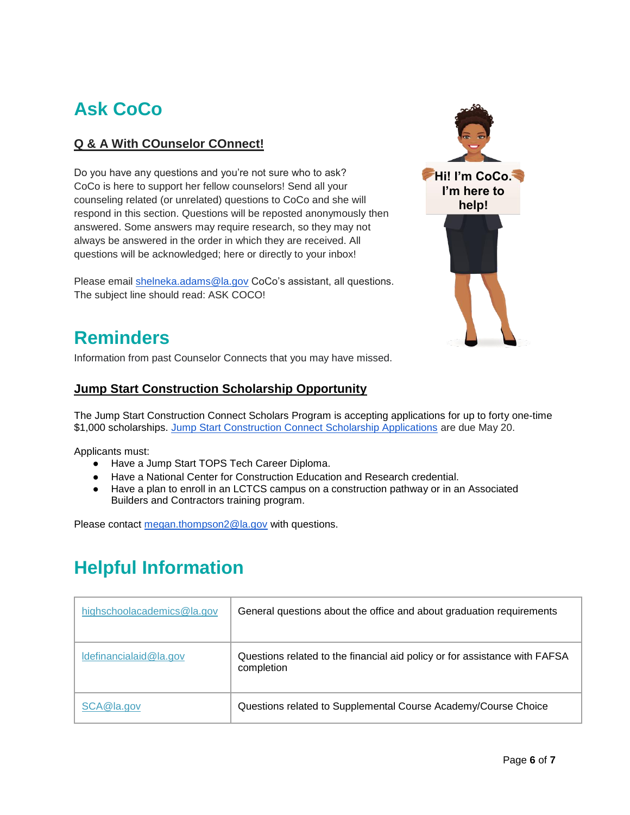# <span id="page-5-0"></span>**Ask CoCo**

## **Q & A With COunselor COnnect!**

Do you have any questions and you're not sure who to ask? CoCo is here to support her fellow counselors! Send all your counseling related (or unrelated) questions to CoCo and she will respond in this section. Questions will be reposted anonymously then answered. Some answers may require research, so they may not always be answered in the order in which they are received. All questions will be acknowledged; here or directly to your inbox!

Please email [shelneka.adams@la.gov](mailto:shelneka.adams@la.gov) CoCo's assistant, all questions. The subject line should read: ASK COCO!



## **Reminders**

Information from past Counselor Connects that you may have missed.

### **Jump Start Construction Scholarship Opportunity**

The Jump Start Construction Connect Scholars Program is accepting applications for up to forty one-time \$1,000 scholarships. [Jump Start Construction Connect Scholarship Applications](https://www.louisianabelieves.com/docs/default-source/jumpstart/jump-start-construction-connect-scholars-application-2020-2021.pdf) are due May 20.

Applicants must:

- Have a Jump Start TOPS Tech Career Diploma.
- Have a National Center for Construction Education and Research credential.
- Have a plan to enroll in an LCTCS campus on a construction pathway or in an Associated Builders and Contractors training program.

Please contact [megan.thompson2@la.gov](mailto:megan.thompson2@la.gov) with questions.

## <span id="page-5-1"></span>**Helpful Information**

| highschoolacademics@la.gov | General questions about the office and about graduation requirements                     |
|----------------------------|------------------------------------------------------------------------------------------|
| Idefinancialaid@la.gov     | Questions related to the financial aid policy or for assistance with FAFSA<br>completion |
| SCA@la.gov                 | Questions related to Supplemental Course Academy/Course Choice                           |